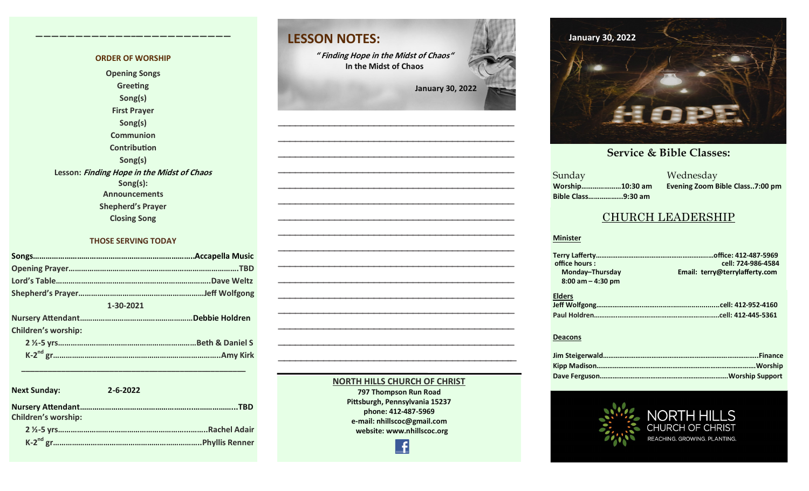#### **ORDER OF WORSHIP Opening Songs Greeting Song(s) First Prayer Song(s) Communion Contribution Song(s) Lesson: Finding Hope in the Midst of Chaos Song(s): Announcements Shepherd's Prayer Closing Song**

**————————————–————————————**

#### **THOSE SERVING TODAY**

| 1-30-2021                  |  |  |  |  |
|----------------------------|--|--|--|--|
|                            |  |  |  |  |
| <b>Children's worship:</b> |  |  |  |  |
|                            |  |  |  |  |
|                            |  |  |  |  |

| <b>Next Sunday:</b>        | $2 - 6 - 2022$ |
|----------------------------|----------------|
| <b>Children's worship:</b> |                |
|                            |                |
|                            |                |

 **\_\_\_\_\_\_\_\_\_\_\_\_\_\_\_\_\_\_\_\_\_\_\_\_\_\_\_\_\_\_\_\_\_\_\_\_\_\_\_\_\_\_\_\_\_\_\_\_\_\_\_**



**—————————————————————————————————————————— —————————————————————————————————————————–—**

> **NORTH HILLS CHURCH OF CHRIST 797 Thompson Run Road Pittsburgh, Pennsylvania 15237 phone: 412-487-5969 e-mail: nhillscoc@gmail.com website: www.nhillscoc.org**

> > Æ

# **Comment 17, 2022 March 7, 2021**  $\frac{1}{2}$ **May 9, 2021May 16, 2021 May 23, 2021** m **June 20, 2021 July 18, 2021 October 17, 2021**

#### **December 10, 2017 December 24, 2017 January 7, 2017 February 21, 2021 March 2021 <b>Service & Bible Classes:**

**Sunday Bible Class……………...9:30 am**

**September 24, 2017 October 8, 2017 October 15, 2017 October 8, 2017 October 22, 2017 October 29, 2017 November 5, 2017 November 12, 2017 November 26, 2017** a a manazarta a shekarar 2011<br>Ne dhe a manazarta a manazarta a manazarta a manazarta a manazarta a manazarta a manazarta a manazarta a manaz<br>Ne da manazarta a manazarta a manazarta a manazarta a manazarta a manazarta a man **Worship…………………10:30 am Evening Zoom Bible Class..7:00 pm**

 $\overline{S}$ 

#### CHURCH LEADERSHIP

#### **Minister**

| office hours:<br>Monday-Thursday<br>$8:00$ am $-$ 4:30 pm | cell: 724-986-4584<br>Email: terry@terrylafferty.com |
|-----------------------------------------------------------|------------------------------------------------------|
| <b>Elders</b>                                             | .cell: 412-445-5361                                  |

#### **Deacons**